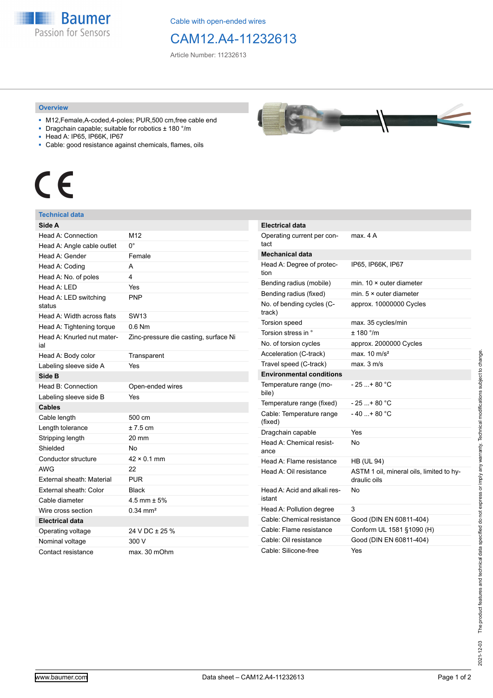**Baumer** Passion for Sensors

Cable with open-ended wires

CAM12.A4-11232613

Article Number: 11232613

## **Overview**

- M12,Female,A-coded,4-poles; PUR,500 cm,free cable end
- Dragchain capable; suitable for robotics ± 180 °/m
- Head A: IP65, IP66K, IP67
- Cable: good resistance against chemicals, flames, oils

## $\epsilon$

## **Technical data**

| Side A                            |                                       |
|-----------------------------------|---------------------------------------|
| Head A: Connection                | M12                                   |
| Head A: Angle cable outlet        | $0^{\circ}$                           |
| Head A: Gender                    | Female                                |
| Head A: Coding                    | A                                     |
| Head A: No. of poles              | 4                                     |
| Head A: LED                       | Yes                                   |
| Head A: LED switching<br>status   | <b>PNP</b>                            |
| Head A: Width across flats        | <b>SW13</b>                           |
| Head A: Tightening torque         | $0.6$ Nm                              |
| Head A: Knurled nut mater-<br>ial | Zinc-pressure die casting, surface Ni |
| Head A: Body color                | Transparent                           |
| Labeling sleeve side A            | Yes                                   |
| Side B                            |                                       |
| Head B: Connection                | Open-ended wires                      |
| Labeling sleeve side B            | Yes                                   |
| <b>Cables</b>                     |                                       |
| Cable length                      | 500 cm                                |
| Length tolerance                  | $±7.5$ cm                             |
| Stripping length                  | 20 mm                                 |
| Shielded                          | No                                    |
| Conductor structure               | $42 \times 0.1$ mm                    |
| <b>AWG</b>                        | 22                                    |
| External sheath: Material         | <b>PUR</b>                            |
| External sheath: Color            | <b>Black</b>                          |
| Cable diameter                    | $4.5$ mm $\pm 5%$                     |
| Wire cross section                | $0.34 \text{ mm}^2$                   |
| <b>Electrical data</b>            |                                       |
| Operating voltage                 | 24 V DC ± 25 %                        |
| Nominal voltage                   | 300 V                                 |
| Contact resistance                | max. 30 mOhm                          |



| <b>Electrical data</b>                 |                                                          |
|----------------------------------------|----------------------------------------------------------|
| Operating current per con-<br>tact     | max. 4 A                                                 |
| <b>Mechanical data</b>                 |                                                          |
| Head A: Degree of protec-<br>tion      | IP65, IP66K, IP67                                        |
| Bending radius (mobile)                | min. $10 \times$ outer diameter                          |
| Bending radius (fixed)                 | min. $5 \times$ outer diameter                           |
| No. of bending cycles (C-<br>track)    | approx. 10000000 Cycles                                  |
| Torsion speed                          | max. 35 cycles/min                                       |
| Torsion stress in °                    | ± 180 °/m                                                |
| No. of torsion cycles                  | approx. 2000000 Cycles                                   |
| Acceleration (C-track)                 | max. $10 \text{ m/s}^2$                                  |
| Travel speed (C-track)                 | max. 3 m/s                                               |
| <b>Environmental conditions</b>        |                                                          |
| Temperature range (mo-<br>bile)        | $-25$ + 80 °C                                            |
| Temperature range (fixed)              | $-25+80 °C$                                              |
| Cable: Temperature range<br>(fixed)    | $-40+80 °C$                                              |
| Dragchain capable                      | Yes                                                      |
| Head A: Chemical resist-<br>ance       | No                                                       |
| Head A: Flame resistance               | <b>HB (UL 94)</b>                                        |
| Head A: Oil resistance                 | ASTM 1 oil, mineral oils, limited to hy-<br>draulic oils |
| Head A: Acid and alkali res-<br>istant | N٥                                                       |
| Head A: Pollution degree               | 3                                                        |
| Cable: Chemical resistance             | Good (DIN EN 60811-404)                                  |
| Cable: Flame resistance                | Conform UL 1581 §1090 (H)                                |
| Cable: Oil resistance                  | Good (DIN EN 60811-404)                                  |
| Cable: Silicone-free                   | Yes                                                      |